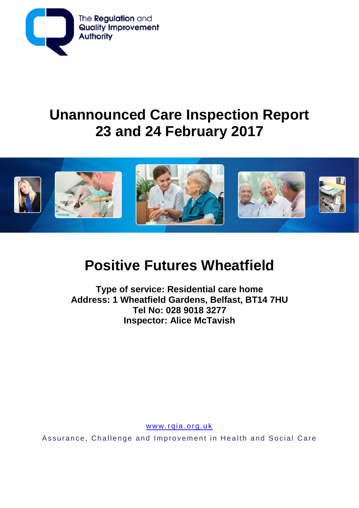

# **Unannounced Care Inspection Report 23 and 24 February 2017**



# **Positive Futures Wheatfield**

**Type of service: Residential care home Address: 1 Wheatfield Gardens, Belfast, BT14 7HU Tel No: 028 9018 3277 Inspector: Alice McTavish**

www.rqia.org.uk

Assurance, Challenge and Improvement in Health and Social Care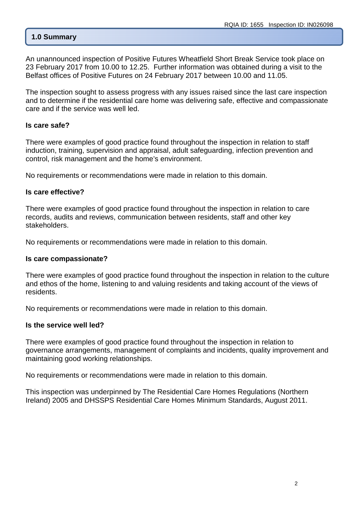## **1.0 Summary**

An unannounced inspection of Positive Futures Wheatfield Short Break Service took place on 23 February 2017 from 10.00 to 12.25. Further information was obtained during a visit to the Belfast offices of Positive Futures on 24 February 2017 between 10.00 and 11.05.

The inspection sought to assess progress with any issues raised since the last care inspection and to determine if the residential care home was delivering safe, effective and compassionate care and if the service was well led.

#### **Is care safe?**

There were examples of good practice found throughout the inspection in relation to staff induction, training, supervision and appraisal, adult safeguarding, infection prevention and control, risk management and the home's environment.

No requirements or recommendations were made in relation to this domain.

#### **Is care effective?**

There were examples of good practice found throughout the inspection in relation to care records, audits and reviews, communication between residents, staff and other key stakeholders.

No requirements or recommendations were made in relation to this domain.

#### **Is care compassionate?**

There were examples of good practice found throughout the inspection in relation to the culture and ethos of the home, listening to and valuing residents and taking account of the views of residents.

No requirements or recommendations were made in relation to this domain.

#### **Is the service well led?**

There were examples of good practice found throughout the inspection in relation to governance arrangements, management of complaints and incidents, quality improvement and maintaining good working relationships.

No requirements or recommendations were made in relation to this domain.

This inspection was underpinned by The Residential Care Homes Regulations (Northern Ireland) 2005 and DHSSPS Residential Care Homes Minimum Standards, August 2011.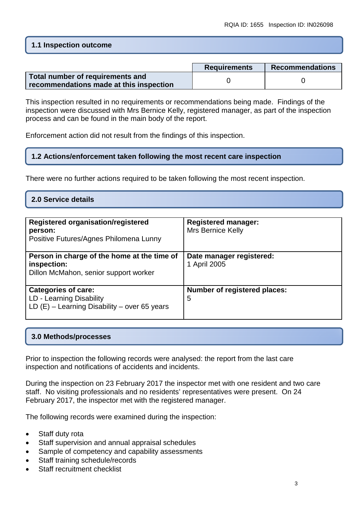## **1.1 Inspection outcome**

|                                                                             | <b>Requirements</b> | Recommendations |
|-----------------------------------------------------------------------------|---------------------|-----------------|
| Total number of requirements and<br>recommendations made at this inspection |                     |                 |

This inspection resulted in no requirements or recommendations being made. Findings of the inspection were discussed with Mrs Bernice Kelly, registered manager, as part of the inspection process and can be found in the main body of the report.

Enforcement action did not result from the findings of this inspection.

## **1.2 Actions/enforcement taken following the most recent care inspection**

There were no further actions required to be taken following the most recent inspection.

#### **2.0 Service details**

| <b>Registered organisation/registered</b><br>person:<br>Positive Futures/Agnes Philomena Lunny           | <b>Registered manager:</b><br>Mrs Bernice Kelly |
|----------------------------------------------------------------------------------------------------------|-------------------------------------------------|
| Person in charge of the home at the time of<br>inspection:<br>Dillon McMahon, senior support worker      | Date manager registered:<br>1 April 2005        |
| <b>Categories of care:</b><br>LD - Learning Disability<br>LD $(E)$ – Learning Disability – over 65 years | <b>Number of registered places:</b><br>5        |

#### **3.0 Methods/processes**

Prior to inspection the following records were analysed: the report from the last care inspection and notifications of accidents and incidents.

During the inspection on 23 February 2017 the inspector met with one resident and two care staff. No visiting professionals and no residents' representatives were present. On 24 February 2017, the inspector met with the registered manager.

The following records were examined during the inspection:

- Staff duty rota
- Staff supervision and annual appraisal schedules
- Sample of competency and capability assessments
- Staff training schedule/records
- Staff recruitment checklist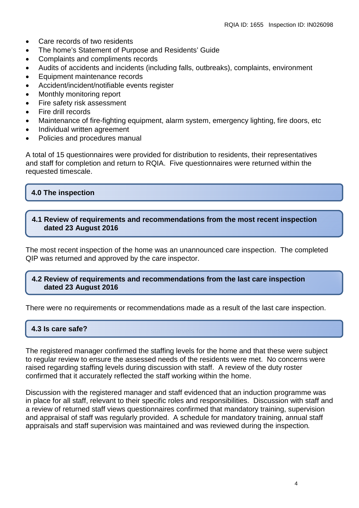- Care records of two residents
- The home's Statement of Purpose and Residents' Guide
- Complaints and compliments records
- Audits of accidents and incidents (including falls, outbreaks), complaints, environment
- Equipment maintenance records
- Accident/incident/notifiable events register
- Monthly monitoring report
- Fire safety risk assessment
- Fire drill records
- Maintenance of fire-fighting equipment, alarm system, emergency lighting, fire doors, etc
- Individual written agreement
- Policies and procedures manual

A total of 15 questionnaires were provided for distribution to residents, their representatives and staff for completion and return to RQIA. Five questionnaires were returned within the requested timescale.

## **4.0 The inspection**

#### **4.1 Review of requirements and recommendations from the most recent inspection dated 23 August 2016**

The most recent inspection of the home was an unannounced care inspection. The completed QIP was returned and approved by the care inspector.

#### **4.2 Review of requirements and recommendations from the last care inspection dated 23 August 2016**

There were no requirements or recommendations made as a result of the last care inspection.

## **4.3 Is care safe?**

The registered manager confirmed the staffing levels for the home and that these were subject to regular review to ensure the assessed needs of the residents were met. No concerns were raised regarding staffing levels during discussion with staff. A review of the duty roster confirmed that it accurately reflected the staff working within the home.

Discussion with the registered manager and staff evidenced that an induction programme was in place for all staff, relevant to their specific roles and responsibilities. Discussion with staff and a review of returned staff views questionnaires confirmed that mandatory training, supervision and appraisal of staff was regularly provided. A schedule for mandatory training, annual staff appraisals and staff supervision was maintained and was reviewed during the inspection*.*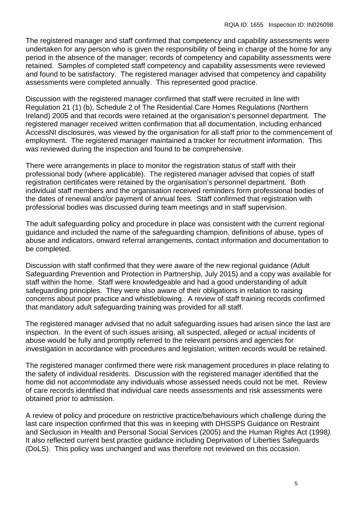The registered manager and staff confirmed that competency and capability assessments were undertaken for any person who is given the responsibility of being in charge of the home for any period in the absence of the manager; records of competency and capability assessments were retained. Samples of completed staff competency and capability assessments were reviewed and found to be satisfactory. The registered manager advised that competency and capability assessments were completed annually. This represented good practice.

Discussion with the registered manager confirmed that staff were recruited in line with Regulation 21 (1) (b), Schedule 2 of The Residential Care Homes Regulations (Northern Ireland) 2005 and that records were retained at the organisation's personnel department. The registered manager received written confirmation that all documentation, including enhanced AccessNI disclosures, was viewed by the organisation for all staff prior to the commencement of employment. The registered manager maintained a tracker for recruitment information. This was reviewed during the inspection and found to be comprehensive.

There were arrangements in place to monitor the registration status of staff with their professional body (where applicable). The registered manager advised that copies of staff registration certificates were retained by the organisation's personnel department. Both individual staff members and the organisation received reminders form professional bodies of the dates of renewal and/or payment of annual fees. Staff confirmed that registration with professional bodies was discussed during team meetings and in staff supervision.

The adult safeguarding policy and procedure in place was consistent with the current regional guidance and included the name of the safeguarding champion, definitions of abuse, types of abuse and indicators, onward referral arrangements, contact information and documentation to be completed.

Discussion with staff confirmed that they were aware of the new regional guidance (Adult Safeguarding Prevention and Protection in Partnership, July 2015) and a copy was available for staff within the home. Staff were knowledgeable and had a good understanding of adult safeguarding principles. They were also aware of their obligations in relation to raising concerns about poor practice and whistleblowing. A review of staff training records confirmed that mandatory adult *s*afeguarding training was provided for all staff.

The registered manager advised that no adult safeguarding issues had arisen since the last are inspection. In the event of such issues arising, all suspected, alleged or actual incidents of abuse would be fully and promptly referred to the relevant persons and agencies for investigation in accordance with procedures and legislation; written records would be retained.

The registered manager confirmed there were risk management procedures in place relating to the safety of individual residents. Discussion with the registered manager identified that the home did not accommodate any individuals whose assessed needs could not be met. Review of care records identified that individual care needs assessments and risk assessments were obtained prior to admission.

A review of policy and procedure on restrictive practice/behaviours which challenge during the last care inspection confirmed that this was in keeping with DHSSPS Guidance on Restraint and Seclusion in Health and Personal Social Services (2005) and the Human Rights Act (1998*).* It also reflected current best practice guidance including Deprivation of Liberties Safeguards (DoLS). This policy was unchanged and was therefore not reviewed on this occasion.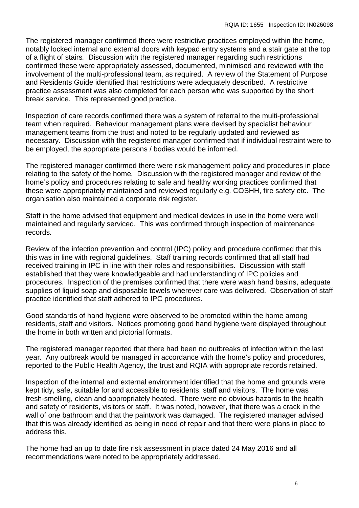The registered manager confirmed there were restrictive practices employed within the home, notably locked internal and external doors with keypad entry systems and a stair gate at the top of a flight of stairs*.* Discussion with the registered manager regarding such restrictions confirmed these were appropriately assessed, documented, minimised and reviewed with the involvement of the multi-professional team, as required. A review of the Statement of Purpose and Residents Guide identified that restrictions were adequately described. A restrictive practice assessment was also completed for each person who was supported by the short break service. This represented good practice.

Inspection of care records confirmed there was a system of referral to the multi-professional team when required. Behaviour management plans were devised by specialist behaviour management teams from the trust and noted to be regularly updated and reviewed as necessary. Discussion with the registered manager confirmed that if individual restraint were to be employed, the appropriate persons / bodies would be informed.

The registered manager confirmed there were risk management policy and procedures in place relating to the safety of the home*.* Discussion with the registered manager and review of the home's policy and procedures relating to safe and healthy working practices confirmed that these were appropriately maintained and reviewed regularly e.g. COSHH, fire safety etc. The organisation also maintained a corporate risk register.

Staff in the home advised that equipment and medical devices in use in the home were well maintained and regularly serviced. This was confirmed through inspection of maintenance records*.*

Review of the infection prevention and control (IPC) policy and procedure confirmed that this this was in line with regional guidelines. Staff training records confirmed that all staff had received training in IPC in line with their roles and responsibilities. Discussion with staff established that they were knowledgeable and had understanding of IPC policies and procedures. Inspection of the premises confirmed that there were wash hand basins, adequate supplies of liquid soap and disposable towels wherever care was delivered. Observation of staff practice identified that staff adhered to IPC procedures.

Good standards of hand hygiene were observed to be promoted within the home among residents, staff and visitors. Notices promoting good hand hygiene were displayed throughout the home in both written and pictorial formats.

The registered manager reported that there had been no outbreaks of infection within the last year. Any outbreak would be managed in accordance with the home's policy and procedures, reported to the Public Health Agency, the trust and RQIA with appropriate records retained.

Inspection of the internal and external environment identified that the home and grounds were kept tidy, safe, suitable for and accessible to residents, staff and visitors. The home was fresh-smelling, clean and appropriately heated. There were no obvious hazards to the health and safety of residents, visitors or staff. It was noted, however, that there was a crack in the wall of one bathroom and that the paintwork was damaged. The registered manager advised that this was already identified as being in need of repair and that there were plans in place to address this.

The home had an up to date fire risk assessment in place dated 24 May 2016 and all recommendations were noted to be appropriately addressed.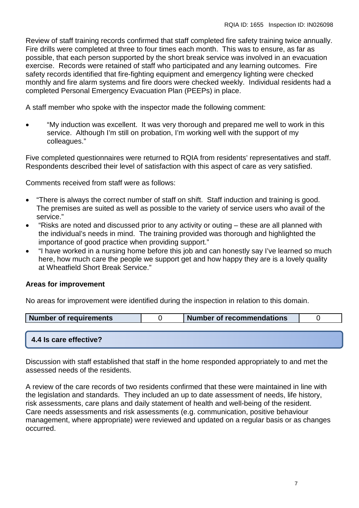Review of staff training records confirmed that staff completed fire safety training twice annually. Fire drills were completed at three to four times each month. This was to ensure, as far as possible, that each person supported by the short break service was involved in an evacuation exercise. Records were retained of staff who participated and any learning outcomes. Fire safety records identified that fire-fighting equipment and emergency lighting were checked monthly and fire alarm systems and fire doors were checked weekly. Individual residents had a completed Personal Emergency Evacuation Plan (PEEPs) in place.

A staff member who spoke with the inspector made the following comment:

• "My induction was excellent. It was very thorough and prepared me well to work in this service. Although I'm still on probation, I'm working well with the support of my colleagues."

Five completed questionnaires were returned to RQIA from residents' representatives and staff. Respondents described their level of satisfaction with this aspect of care as very satisfied.

Comments received from staff were as follows:

- "There is always the correct number of staff on shift. Staff induction and training is good. The premises are suited as well as possible to the variety of service users who avail of the service."
- "Risks are noted and discussed prior to any activity or outing these are all planned with the individual's needs in mind. The training provided was thorough and highlighted the importance of good practice when providing support."
- "I have worked in a nursing home before this job and can honestly say I've learned so much here, how much care the people we support get and how happy they are is a lovely quality at Wheatfield Short Break Service."

## **Areas for improvement**

No areas for improvement were identified during the inspection in relation to this domain.

| Number of requirements | Number of recommendations |  |
|------------------------|---------------------------|--|
|                        |                           |  |
|                        |                           |  |

## **4.4 Is care effective?**

Discussion with staff established that staff in the home responded appropriately to and met the assessed needs of the residents.

A review of the care records of two residents confirmed that these were maintained in line with the legislation and standards. They included an up to date assessment of needs, life history, risk assessments, care plans and daily statement of health and well-being of the resident. Care needs assessments and risk assessments (e.g. communication, positive behaviour management, where appropriate) were reviewed and updated on a regular basis or as changes occurred.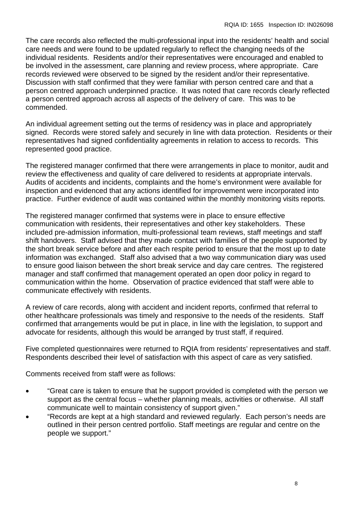The care records also reflected the multi-professional input into the residents' health and social care needs and were found to be updated regularly to reflect the changing needs of the individual residents. Residents and/or their representatives were encouraged and enabled to be involved in the assessment, care planning and review process, where appropriate. Care records reviewed were observed to be signed by the resident and/or their representative. Discussion with staff confirmed that they were familiar with person centred care and that a person centred approach underpinned practice. It was noted that care records clearly reflected a person centred approach across all aspects of the delivery of care. This was to be commended.

An individual agreement setting out the terms of residency was in place and appropriately signed. Records were stored safely and securely in line with data protection. Residents or their representatives had signed confidentiality agreements in relation to access to records. This represented good practice.

The registered manager confirmed that there were arrangements in place to monitor, audit and review the effectiveness and quality of care delivered to residents at appropriate intervals. Audits of accidents and incidents, complaints and the home's environment were available for inspection and evidenced that any actions identified for improvement were incorporated into practice. Further evidence of audit was contained within the monthly monitoring visits reports*.*

The registered manager confirmed that systems were in place to ensure effective communication with residents, their representatives and other key stakeholders. These included pre-admission information, multi-professional team reviews, staff meetings and staff shift handovers. Staff advised that they made contact with families of the people supported by the short break service before and after each respite period to ensure that the most up to date information was exchanged. Staff also advised that a two way communication diary was used to ensure good liaison between the short break service and day care centres. The registered manager and staff confirmed that management operated an open door policy in regard to communication within the home. Observation of practice evidenced that staff were able to communicate effectively with residents.

A review of care records, along with accident and incident reports, confirmed that referral to other healthcare professionals was timely and responsive to the needs of the residents. Staff confirmed that arrangements would be put in place, in line with the legislation, to support and advocate for residents, although this would be arranged by trust staff, if required.

Five completed questionnaires were returned to RQIA from residents' representatives and staff. Respondents described their level of satisfaction with this aspect of care as very satisfied.

Comments received from staff were as follows:

- "Great care is taken to ensure that he support provided is completed with the person we support as the central focus – whether planning meals, activities or otherwise. All staff communicate well to maintain consistency of support given."
- "Records are kept at a high standard and reviewed regularly. Each person's needs are outlined in their person centred portfolio. Staff meetings are regular and centre on the people we support."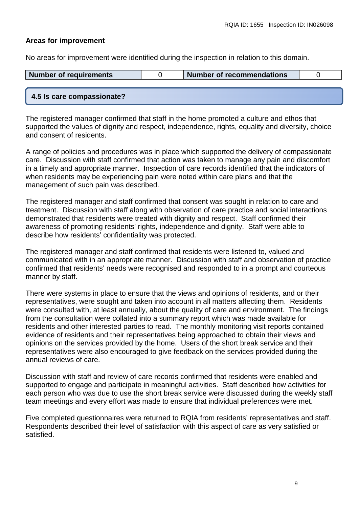#### **Areas for improvement**

No areas for improvement were identified during the inspection in relation to this domain.

| Number of requirements     | Number of recommendations |  |
|----------------------------|---------------------------|--|
|                            |                           |  |
| 4.5 Is care compassionate? |                           |  |

The registered manager confirmed that staff in the home promoted a culture and ethos that supported the values of dignity and respect, independence, rights, equality and diversity, choice and consent of residents.

A range of policies and procedures was in place which supported the delivery of compassionate care. Discussion with staff confirmed that action was taken to manage any pain and discomfort in a timely and appropriate manner. Inspection of care records identified that the indicators of when residents may be experiencing pain were noted within care plans and that the management of such pain was described.

The registered manager and staff confirmed that consent was sought in relation to care and treatment. Discussion with staff along with observation of care practice and social interactions demonstrated that residents were treated with dignity and respect. Staff confirmed their awareness of promoting residents' rights, independence and dignity. Staff were able to describe how residents' confidentiality was protected.

The registered manager and staff confirmed that residents were listened to, valued and communicated with in an appropriate manner. Discussion with staff and observation of practice confirmed that residents' needs were recognised and responded to in a prompt and courteous manner by staff.

There were systems in place to ensure that the views and opinions of residents, and or their representatives, were sought and taken into account in all matters affecting them. Residents were consulted with, at least annually, about the quality of care and environment. The findings from the consultation were collated into a summary report which was made available for residents and other interested parties to read. The monthly monitoring visit reports contained evidence of residents and their representatives being approached to obtain their views and opinions on the services provided by the home. Users of the short break service and their representatives were also encouraged to give feedback on the services provided during the annual reviews of care.

Discussion with staff and review of care records confirmed that residents were enabled and supported to engage and participate in meaningful activities. Staff described how activities for each person who was due to use the short break service were discussed during the weekly staff team meetings and every effort was made to ensure that individual preferences were met.

Five completed questionnaires were returned to RQIA from residents' representatives and staff. Respondents described their level of satisfaction with this aspect of care as very satisfied or satisfied.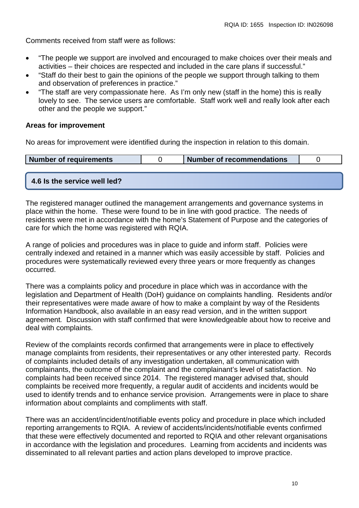Comments received from staff were as follows:

- "The people we support are involved and encouraged to make choices over their meals and activities – their choices are respected and included in the care plans if successful."
- "Staff do their best to gain the opinions of the people we support through talking to them and observation of preferences in practice."
- "The staff are very compassionate here. As I'm only new (staff in the home) this is really lovely to see. The service users are comfortable. Staff work well and really look after each other and the people we support."

#### **Areas for improvement**

No areas for improvement were identified during the inspection in relation to this domain.

| <b>Number of requirements</b> | <b>I Number of recommendations</b> |  |
|-------------------------------|------------------------------------|--|
|                               |                                    |  |

# **4.6 Is the service well led?**

The registered manager outlined the management arrangements and governance systems in place within the home. These were found to be in line with good practice. The needs of residents were met in accordance with the home's Statement of Purpose and the categories of care for which the home was registered with RQIA.

A range of policies and procedures was in place to guide and inform staff. Policies were centrally indexed and retained in a manner which was easily accessible by staff. Policies and procedures were systematically reviewed every three years or more frequently as changes occurred.

There was a complaints policy and procedure in place which was in accordance with the legislation and Department of Health (DoH) guidance on complaints handling. Residents and/or their representatives were made aware of how to make a complaint by way of the Residents Information Handbook, also available in an easy read version, and in the written support agreement*.* Discussion with staff confirmed that were knowledgeable about how to receive and deal with complaints.

Review of the complaints records confirmed that arrangements were in place to effectively manage complaints from residents, their representatives or any other interested party. Records of complaints included details of any investigation undertaken, all communication with complainants, the outcome of the complaint and the complainant's level of satisfaction. No complaints had been received since 2014. The registered manager advised that, should complaints be received more frequently, a regular audit of accidents and incidents would be used to identify trends and to enhance service provision. Arrangements were in place to share information about complaints and compliments with staff.

There was an accident/incident/notifiable events policy and procedure in place which included reporting arrangements to RQIA. A review of accidents/incidents/notifiable events confirmed that these were effectively documented and reported to RQIA and other relevant organisations in accordance with the legislation and procedures. Learning from accidents and incidents was disseminated to all relevant parties and action plans developed to improve practice.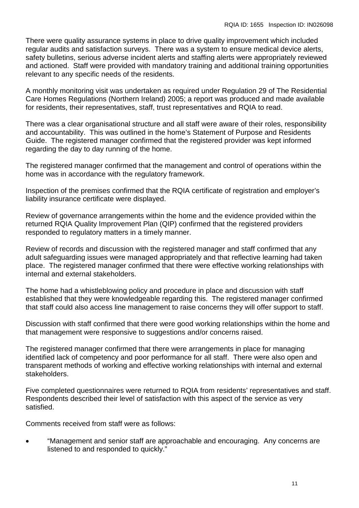There were quality assurance systems in place to drive quality improvement which included regular audits and satisfaction surveys. There was a system to ensure medical device alerts, safety bulletins, serious adverse incident alerts and staffing alerts were appropriately reviewed and actioned. Staff were provided with mandatory training and additional training opportunities relevant to any specific needs of the residents.

A monthly monitoring visit was undertaken as required under Regulation 29 of The Residential Care Homes Regulations (Northern Ireland) 2005; a report was produced and made available for residents, their representatives, staff, trust representatives and RQIA to read.

There was a clear organisational structure and all staff were aware of their roles, responsibility and accountability. This was outlined in the home's Statement of Purpose and Residents Guide. The registered manager confirmed that the registered provider was kept informed regarding the day to day running of the home.

The registered manager confirmed that the management and control of operations within the home was in accordance with the regulatory framework.

Inspection of the premises confirmed that the RQIA certificate of registration and employer's liability insurance certificate were displayed.

Review of governance arrangements within the home and the evidence provided within the returned RQIA Quality Improvement Plan (QIP) confirmed that the registered providers responded to regulatory matters in a timely manner.

Review of records and discussion with the registered manager and staff confirmed that any adult safeguarding issues were managed appropriately and that reflective learning had taken place. The registered manager confirmed that there were effective working relationships with internal and external stakeholders.

The home had a whistleblowing policy and procedure in place and discussion with staff established that they were knowledgeable regarding this. The registered manager confirmed that staff could also access line management to raise concerns they will offer support to staff.

Discussion with staff confirmed that there were good working relationships within the home and that management were responsive to suggestions and/or concerns raised.

The registered manager confirmed that there were arrangements in place for managing identified lack of competency and poor performance for all staff. There were also open and transparent methods of working and effective working relationships with internal and external stakeholders.

Five completed questionnaires were returned to RQIA from residents' representatives and staff. Respondents described their level of satisfaction with this aspect of the service as very satisfied.

Comments received from staff were as follows:

• "Management and senior staff are approachable and encouraging. Any concerns are listened to and responded to quickly."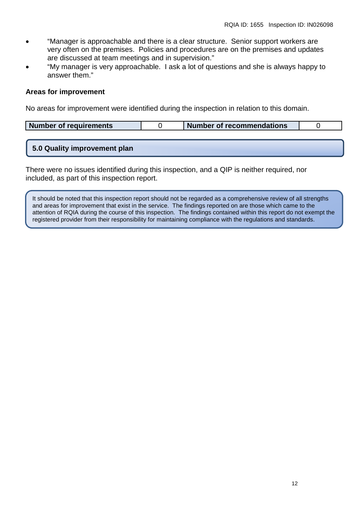- "Manager is approachable and there is a clear structure. Senior support workers are very often on the premises. Policies and procedures are on the premises and updates are discussed at team meetings and in supervision."
- "My manager is very approachable. I ask a lot of questions and she is always happy to answer them."

#### **Areas for improvement**

No areas for improvement were identified during the inspection in relation to this domain.

| Number of requirements | Number of recommendations |  |
|------------------------|---------------------------|--|
|                        |                           |  |

## **5.0 Quality improvement plan**

There were no issues identified during this inspection, and a QIP is neither required, nor included, as part of this inspection report.

It should be noted that this inspection report should not be regarded as a comprehensive review of all strengths and areas for improvement that exist in the service. The findings reported on are those which came to the attention of RQIA during the course of this inspection. The findings contained within this report do not exempt the registered provider from their responsibility for maintaining compliance with the regulations and standards.